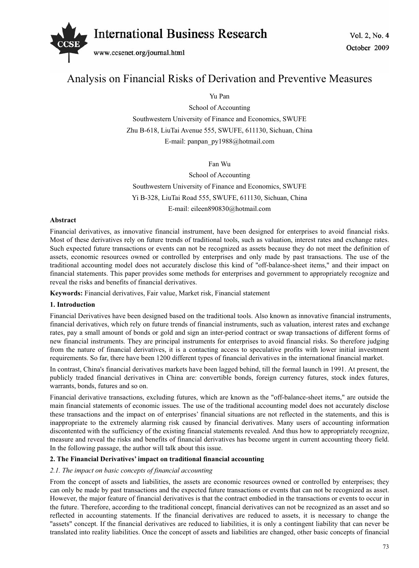# **International Business Research**  $\text{Vol. 2, No. 4}$



www.ccsenet.org/journal.html

# Analysis on Financial Risks of Derivation and Preventive Measures

Yu Pan

School of Accounting Southwestern University of Finance and Economics, SWUFE Zhu B-618, LiuTai Avenue 555, SWUFE, 611130, Sichuan, China E-mail: panpan\_py1988@hotmail.com

Fan Wu

School of Accounting Southwestern University of Finance and Economics, SWUFE Yi B-328, LiuTai Road 555, SWUFE, 611130, Sichuan, China E-mail: eileen890830@hotmail.com

# **Abstract**

Financial derivatives, as innovative financial instrument, have been designed for enterprises to avoid financial risks. Most of these derivatives rely on future trends of traditional tools, such as valuation, interest rates and exchange rates. Such expected future transactions or events can not be recognized as assets because they do not meet the definition of assets, economic resources owned or controlled by enterprises and only made by past transactions. The use of the traditional accounting model does not accurately disclose this kind of "off-balance-sheet items," and their impact on financial statements. This paper provides some methods for enterprises and government to appropriately recognize and reveal the risks and benefits of financial derivatives.

**Keywords:** Financial derivatives, Fair value, Market risk, Financial statement

# **1. Introduction**

Financial Derivatives have been designed based on the traditional tools. Also known as innovative financial instruments, financial derivatives, which rely on future trends of financial instruments, such as valuation, interest rates and exchange rates, pay a small amount of bonds or gold and sign an inter-period contract or swap transactions of different forms of new financial instruments. They are principal instruments for enterprises to avoid financial risks. So therefore judging from the nature of financial derivatives, it is a contacting access to speculative profits with lower initial investment requirements. So far, there have been 1200 different types of financial derivatives in the international financial market.

In contrast, China's financial derivatives markets have been lagged behind, till the formal launch in 1991. At present, the publicly traded financial derivatives in China are: convertible bonds, foreign currency futures, stock index futures, warrants, bonds, futures and so on.

Financial derivative transactions, excluding futures, which are known as the "off-balance-sheet items," are outside the main financial statements of economic issues. The use of the traditional accounting model does not accurately disclose these transactions and the impact on of enterprises' financial situations are not reflected in the statements, and this is inappropriate to the extremely alarming risk caused by financial derivatives. Many users of accounting information discontented with the sufficiency of the existing financial statements revealed. And thus how to appropriately recognize, measure and reveal the risks and benefits of financial derivatives has become urgent in current accounting theory field. In the following passage, the author will talk about this issue.

# **2. The Financial Derivatives' impact on traditional financial accounting**

# *2.1. The impact on basic concepts of financial accounting*

From the concept of assets and liabilities, the assets are economic resources owned or controlled by enterprises; they can only be made by past transactions and the expected future transactions or events that can not be recognized as asset. However, the major feature of financial derivatives is that the contract embodied in the transactions or events to occur in the future. Therefore, according to the traditional concept, financial derivatives can not be recognized as an asset and so reflected in accounting statements. If the financial derivatives are reduced to assets, it is necessary to change the "assets" concept. If the financial derivatives are reduced to liabilities, it is only a contingent liability that can never be translated into reality liabilities. Once the concept of assets and liabilities are changed, other basic concepts of financial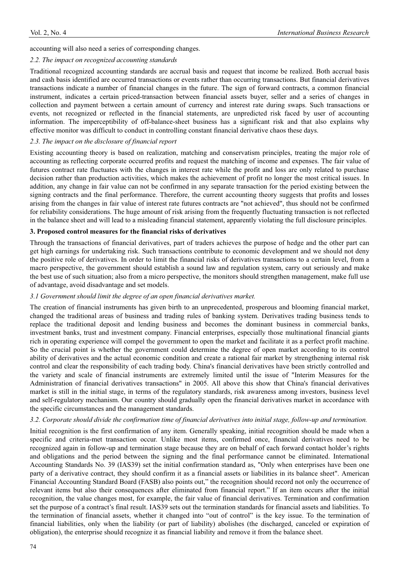accounting will also need a series of corresponding changes.

#### *2.2. The impact on recognized accounting standards*

Traditional recognized accounting standards are accrual basis and request that income be realized. Both accrual basis and cash basis identified are occurred transactions or events rather than occurring transactions. But financial derivatives transactions indicate a number of financial changes in the future. The sign of forward contracts, a common financial instrument, indicates a certain priced-transaction between financial assets buyer, seller and a series of changes in collection and payment between a certain amount of currency and interest rate during swaps. Such transactions or events, not recognized or reflected in the financial statements, are unpredicted risk faced by user of accounting information. The imperceptibility of off-balance-sheet business has a significant risk and that also explains why effective monitor was difficult to conduct in controlling constant financial derivative chaos these days.

#### *2.3. The impact on the disclosure of financial report*

Existing accounting theory is based on realization, matching and conservatism principles, treating the major role of accounting as reflecting corporate occurred profits and request the matching of income and expenses. The fair value of futures contract rate fluctuates with the changes in interest rate while the profit and loss are only related to purchase decision rather than production activities, which makes the achievement of profit no longer the most critical issues. In addition, any change in fair value can not be confirmed in any separate transaction for the period existing between the signing contracts and the final performance. Therefore, the current accounting theory suggests that profits and losses arising from the changes in fair value of interest rate futures contracts are "not achieved", thus should not be confirmed for reliability considerations. The huge amount of risk arising from the frequently fluctuating transaction is not reflected in the balance sheet and will lead to a misleading financial statement, apparently violating the full disclosure principles.

#### **3. Proposed control measures for the financial risks of derivatives**

Through the transactions of financial derivatives, part of traders achieves the purpose of hedge and the other part can get high earnings for undertaking risk. Such transactions contribute to economic development and we should not deny the positive role of derivatives. In order to limit the financial risks of derivatives transactions to a certain level, from a macro perspective, the government should establish a sound law and regulation system, carry out seriously and make the best use of such situation; also from a micro perspective, the monitors should strengthen management, make full use of advantage, avoid disadvantage and set models.

#### *3.1 Government should limit the degree of an open financial derivatives market.*

The creation of financial instruments has given birth to an unprecedented, prosperous and blooming financial market, changed the traditional areas of business and trading rules of banking system. Derivatives trading business tends to replace the traditional deposit and lending business and becomes the dominant business in commercial banks, investment banks, trust and investment company. Financial enterprises, especially those multinational financial giants rich in operating experience will compel the government to open the market and facilitate it as a perfect profit machine. So the crucial point is whether the government could determine the degree of open market according to its control ability of derivatives and the actual economic condition and create a rational fair market by strengthening internal risk control and clear the responsibility of each trading body. China's financial derivatives have been strictly controlled and the variety and scale of financial instruments are extremely limited until the issue of "Interim Measures for the Administration of financial derivatives transactions" in 2005. All above this show that China's financial derivatives market is still in the initial stage, in terms of the regulatory standards, risk awareness among investors, business level and self-regulatory mechanism. Our country should gradually open the financial derivatives market in accordance with the specific circumstances and the management standards.

#### *3.2. Corporate should divide the confirmation time of financial derivatives into initial stage, follow-up and termination.*

Initial recognition is the first confirmation of any item. Generally speaking, initial recognition should be made when a specific and criteria-met transaction occur. Unlike most items, confirmed once, financial derivatives need to be recognized again in follow-up and termination stage because they are on behalf of each forward contact holder's rights and obligations and the period between the signing and the final performance cannot be eliminated. International Accounting Standards No. 39 (IAS39) set the initial confirmation standard as, "Only when enterprises have been one party of a derivative contract, they should confirm it as a financial assets or liabilities in its balance sheet". American Financial Accounting Standard Board (FASB) also points out," the recognition should record not only the occurrence of relevant items but also their consequences after eliminated from financial report." If an item occurs after the initial recognition, the value changes most, for example, the fair value of financial derivatives. Termination and confirmation set the purpose of a contract's final result. IAS39 sets out the termination standards for financial assets and liabilities. To the termination of financial assets, whether it changed into "out of control" is the key issue. To the termination of financial liabilities, only when the liability (or part of liability) abolishes (the discharged, canceled or expiration of obligation), the enterprise should recognize it as financial liability and remove it from the balance sheet.